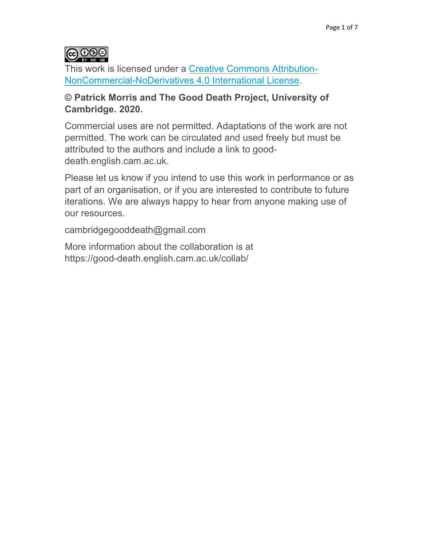

This work is licensed under a Creative Commons Attribution-NonCommercial-NoDerivatives 4.0 International License.

# **© Patrick Morris and The Good Death Project, University of Cambridge. 2020.**

Commercial uses are not permitted. Adaptations of the work are not permitted. The work can be circulated and used freely but must be attributed to the authors and include a link to gooddeath.english.cam.ac.uk.

Please let us know if you intend to use this work in performance or as part of an organisation, or if you are interested to contribute to future iterations. We are always happy to hear from anyone making use of our resources.

cambridgegooddeath@gmail.com

More information about the collaboration is at https://good-death.english.cam.ac.uk/collab/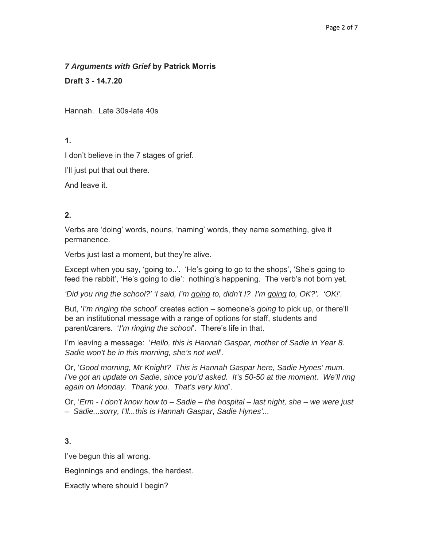#### *7 Arguments with Grief* **by Patrick Morris**

**Draft 3 - 14.7.20** 

Hannah. Late 30s-late 40s

# **1.**

I don't believe in the 7 stages of grief.

I'll just put that out there.

And leave it.

# **2.**

Verbs are 'doing' words, nouns, 'naming' words, they name something, give it permanence.

Verbs just last a moment, but they're alive.

Except when you say, 'going to..'. 'He's going to go to the shops', 'She's going to feed the rabbit', 'He's going to die': nothing's happening. The verb's not born yet.

*'Did you ring the school?' 'I said, I'm going to, didn't I? I'm going to, OK?'. 'OK!'.*

But, '*I'm ringing the school*' creates action – someone's *going* to pick up, or there'll be an institutional message with a range of options for staff, students and parent/carers. '*I'm ringing the school*'. There's life in that.

I'm leaving a message: '*Hello, this is Hannah Gaspar, mother of Sadie in Year 8. Sadie won't be in this morning, she's not well*'.

Or, '*Good morning, Mr Knight? This is Hannah Gaspar here, Sadie Hynes' mum. I've got an update on Sadie, since you'd asked. It's 50-50 at the moment. We'll ring again on Monday. Thank you. That's very kind*'.

Or, '*Erm - I don't know how to – Sadie – the hospital – last night, she – we were just – Sadie...sorry, I'll...this is Hannah Gaspar*, *Sadie Hynes'...*

# **3.**

I've begun this all wrong.

Beginnings and endings, the hardest.

Exactly where should I begin?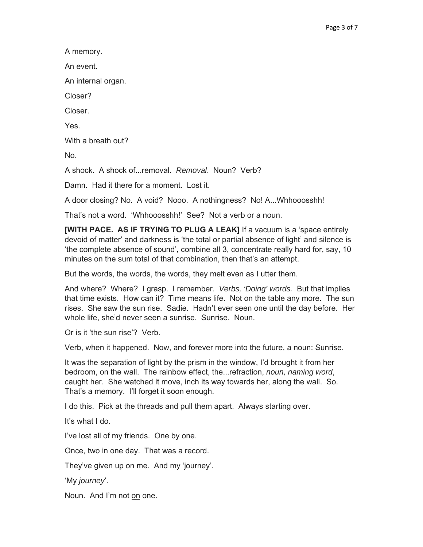A memory.

An event.

An internal organ.

Closer?

Closer.

Yes.

With a breath out?

No.

A shock. A shock of...removal. *Removal*. Noun? Verb?

Damn. Had it there for a moment. Lost it.

A door closing? No. A void? Nooo. A nothingness? No! A...Whhooosshh!

That's not a word. 'Whhooosshh!' See? Not a verb or a noun.

**[WITH PACE. AS IF TRYING TO PLUG A LEAK]** If a vacuum is a 'space entirely devoid of matter' and darkness is 'the total or partial absence of light' and silence is 'the complete absence of sound', combine all 3, concentrate really hard for, say, 10 minutes on the sum total of that combination, then that's an attempt.

But the words, the words, the words, they melt even as I utter them.

And where? Where? I grasp. I remember. *Verbs, 'Doing' words.* But that implies that time exists. How can it? Time means life. Not on the table any more. The sun rises. She saw the sun rise. Sadie. Hadn't ever seen one until the day before. Her whole life, she'd never seen a sunrise. Sunrise. Noun.

Or is it 'the sun rise'? Verb.

Verb, when it happened. Now, and forever more into the future, a noun: Sunrise.

It was the separation of light by the prism in the window, I'd brought it from her bedroom, on the wall. The rainbow effect, the...refraction, *noun, naming word*, caught her. She watched it move, inch its way towards her, along the wall. So. That's a memory. I'll forget it soon enough.

I do this. Pick at the threads and pull them apart. Always starting over.

It's what I do.

I've lost all of my friends. One by one.

Once, two in one day. That was a record.

They've given up on me. And my 'journey'.

'My *journey*'.

Noun. And I'm not on one.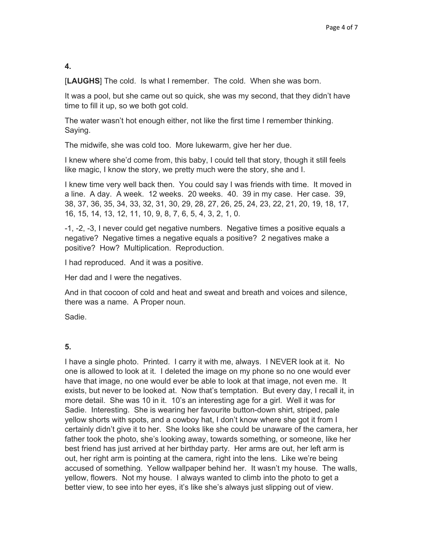## **4.**

[**LAUGHS**] The cold. Is what I remember. The cold. When she was born.

It was a pool, but she came out so quick, she was my second, that they didn't have time to fill it up, so we both got cold.

The water wasn't hot enough either, not like the first time I remember thinking. Saying.

The midwife, she was cold too. More lukewarm, give her her due.

I knew where she'd come from, this baby, I could tell that story, though it still feels like magic, I know the story, we pretty much were the story, she and I.

I knew time very well back then. You could say I was friends with time. It moved in a line. A day. A week. 12 weeks. 20 weeks. 40. 39 in my case. Her case. 39, 38, 37, 36, 35, 34, 33, 32, 31, 30, 29, 28, 27, 26, 25, 24, 23, 22, 21, 20, 19, 18, 17, 16, 15, 14, 13, 12, 11, 10, 9, 8, 7, 6, 5, 4, 3, 2, 1, 0.

-1, -2, -3, I never could get negative numbers. Negative times a positive equals a negative? Negative times a negative equals a positive? 2 negatives make a positive? How? Multiplication. Reproduction.

I had reproduced. And it was a positive.

Her dad and I were the negatives.

And in that cocoon of cold and heat and sweat and breath and voices and silence, there was a name. A Proper noun.

Sadie.

## **5.**

I have a single photo. Printed. I carry it with me, always. I NEVER look at it. No one is allowed to look at it. I deleted the image on my phone so no one would ever have that image, no one would ever be able to look at that image, not even me. It exists, but never to be looked at. Now that's temptation. But every day, I recall it, in more detail. She was 10 in it. 10's an interesting age for a girl. Well it was for Sadie. Interesting. She is wearing her favourite button-down shirt, striped, pale yellow shorts with spots, and a cowboy hat, I don't know where she got it from I certainly didn't give it to her. She looks like she could be unaware of the camera, her father took the photo, she's looking away, towards something, or someone, like her best friend has just arrived at her birthday party. Her arms are out, her left arm is out, her right arm is pointing at the camera, right into the lens. Like we're being accused of something. Yellow wallpaper behind her. It wasn't my house. The walls, yellow, flowers. Not my house. I always wanted to climb into the photo to get a better view, to see into her eyes, it's like she's always just slipping out of view.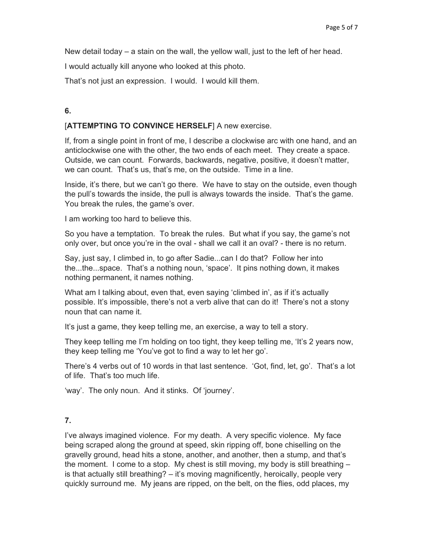New detail today – a stain on the wall, the yellow wall, just to the left of her head.

I would actually kill anyone who looked at this photo.

That's not just an expression. I would. I would kill them.

# **6.**

#### [**ATTEMPTING TO CONVINCE HERSELF**] A new exercise.

If, from a single point in front of me, I describe a clockwise arc with one hand, and an anticlockwise one with the other, the two ends of each meet. They create a space. Outside, we can count. Forwards, backwards, negative, positive, it doesn't matter, we can count. That's us, that's me, on the outside. Time in a line.

Inside, it's there, but we can't go there. We have to stay on the outside, even though the pull's towards the inside, the pull is always towards the inside. That's the game. You break the rules, the game's over.

I am working too hard to believe this.

So you have a temptation. To break the rules. But what if you say, the game's not only over, but once you're in the oval - shall we call it an oval? - there is no return.

Say, just say, I climbed in, to go after Sadie...can I do that? Follow her into the...the...space. That's a nothing noun, 'space'. It pins nothing down, it makes nothing permanent, it names nothing.

What am I talking about, even that, even saying 'climbed in', as if it's actually possible. It's impossible, there's not a verb alive that can do it! There's not a stony noun that can name it.

It's just a game, they keep telling me, an exercise, a way to tell a story.

They keep telling me I'm holding on too tight, they keep telling me, 'It's 2 years now, they keep telling me 'You've got to find a way to let her go'.

There's 4 verbs out of 10 words in that last sentence. 'Got, find, let, go'. That's a lot of life. That's too much life.

'way'. The only noun. And it stinks. Of 'journey'.

## **7.**

I've always imagined violence. For my death. A very specific violence. My face being scraped along the ground at speed, skin ripping off, bone chiselling on the gravelly ground, head hits a stone, another, and another, then a stump, and that's the moment. I come to a stop. My chest is still moving, my body is still breathing – is that actually still breathing? – it's moving magnificently, heroically, people very quickly surround me. My jeans are ripped, on the belt, on the flies, odd places, my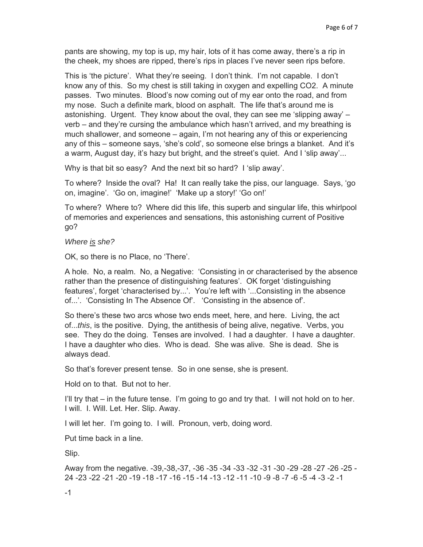pants are showing, my top is up, my hair, lots of it has come away, there's a rip in the cheek, my shoes are ripped, there's rips in places I've never seen rips before.

This is 'the picture'. What they're seeing. I don't think. I'm not capable. I don't know any of this. So my chest is still taking in oxygen and expelling CO2. A minute passes. Two minutes. Blood's now coming out of my ear onto the road, and from my nose. Such a definite mark, blood on asphalt. The life that's around me is astonishing. Urgent. They know about the oval, they can see me 'slipping away' – verb – and they're cursing the ambulance which hasn't arrived, and my breathing is much shallower, and someone – again, I'm not hearing any of this or experiencing any of this – someone says, 'she's cold', so someone else brings a blanket. And it's a warm, August day, it's hazy but bright, and the street's quiet. And I 'slip away'...

Why is that bit so easy? And the next bit so hard? I 'slip away'.

To where? Inside the oval? Ha! It can really take the piss, our language. Says, 'go on, imagine'. 'Go on, imagine!' 'Make up a story!' 'Go on!'

To where? Where to? Where did this life, this superb and singular life, this whirlpool of memories and experiences and sensations, this astonishing current of Positive go?

*Where is she?* 

OK, so there is no Place, no 'There'.

A hole. No, a realm. No, a Negative: 'Consisting in or characterised by the absence rather than the presence of distinguishing features'. OK forget 'distinguishing features', forget 'characterised by...'. You're left with '...Consisting in the absence of...'. 'Consisting In The Absence Of'. 'Consisting in the absence of'.

So there's these two arcs whose two ends meet, here, and here. Living, the act of...*this*, is the positive. Dying, the antithesis of being alive, negative. Verbs, you see. They do the doing. Tenses are involved. I had a daughter. I have a daughter. I have a daughter who dies. Who is dead. She was alive. She is dead. She is always dead.

So that's forever present tense. So in one sense, she is present.

Hold on to that. But not to her.

I'll try that – in the future tense. I'm going to go and try that. I will not hold on to her. I will. I. Will. Let. Her. Slip. Away.

I will let her. I'm going to. I will. Pronoun, verb, doing word.

Put time back in a line.

Slip.

Away from the negative. -39,-38,-37, -36 -35 -34 -33 -32 -31 -30 -29 -28 -27 -26 -25 - 24 -23 -22 -21 -20 -19 -18 -17 -16 -15 -14 -13 -12 -11 -10 -9 -8 -7 -6 -5 -4 -3 -2 -1